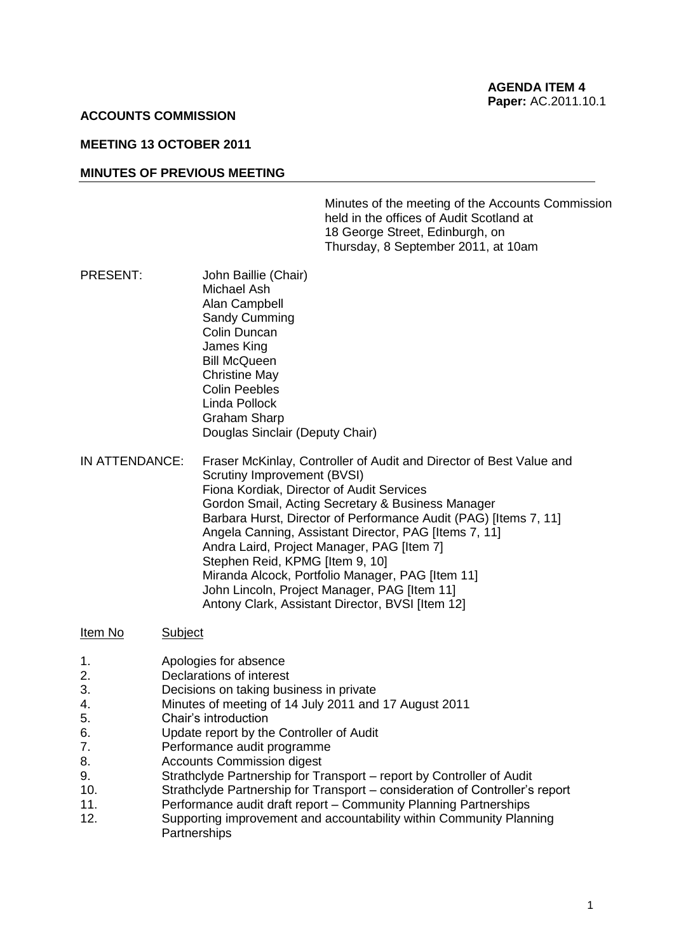### **ACCOUNTS COMMISSION**

### **MEETING 13 OCTOBER 2011**

### **MINUTES OF PREVIOUS MEETING**

Minutes of the meeting of the Accounts Commission held in the offices of Audit Scotland at 18 George Street, Edinburgh, on Thursday, 8 September 2011, at 10am

- PRESENT: John Baillie (Chair) Michael Ash Alan Campbell Sandy Cumming Colin Duncan James King Bill McQueen Christine May Colin Peebles Linda Pollock Graham Sharp Douglas Sinclair (Deputy Chair)
- IN ATTENDANCE: Fraser McKinlay, Controller of Audit and Director of Best Value and Scrutiny Improvement (BVSI) Fiona Kordiak, Director of Audit Services Gordon Smail, Acting Secretary & Business Manager Barbara Hurst, Director of Performance Audit (PAG) [Items 7, 11] Angela Canning, Assistant Director, PAG [Items 7, 11] Andra Laird, Project Manager, PAG [Item 7] Stephen Reid, KPMG [Item 9, 10] Miranda Alcock, Portfolio Manager, PAG [Item 11] John Lincoln, Project Manager, PAG [Item 11] Antony Clark, Assistant Director, BVSI [Item 12]

#### Item No Subject

- 1. Apologies for absence
- 2. Declarations of interest
- 3. Decisions on taking business in private
- 4. Minutes of meeting of 14 July 2011 and 17 August 2011
- 5. Chair's introduction
- 6. Update report by the Controller of Audit
- 7. Performance audit programme
- 8. Accounts Commission digest
- 9. Strathclyde Partnership for Transport report by Controller of Audit
- 10. Strathclyde Partnership for Transport consideration of Controller's report
- 11. Performance audit draft report Community Planning Partnerships
- 12. Supporting improvement and accountability within Community Planning **Partnerships**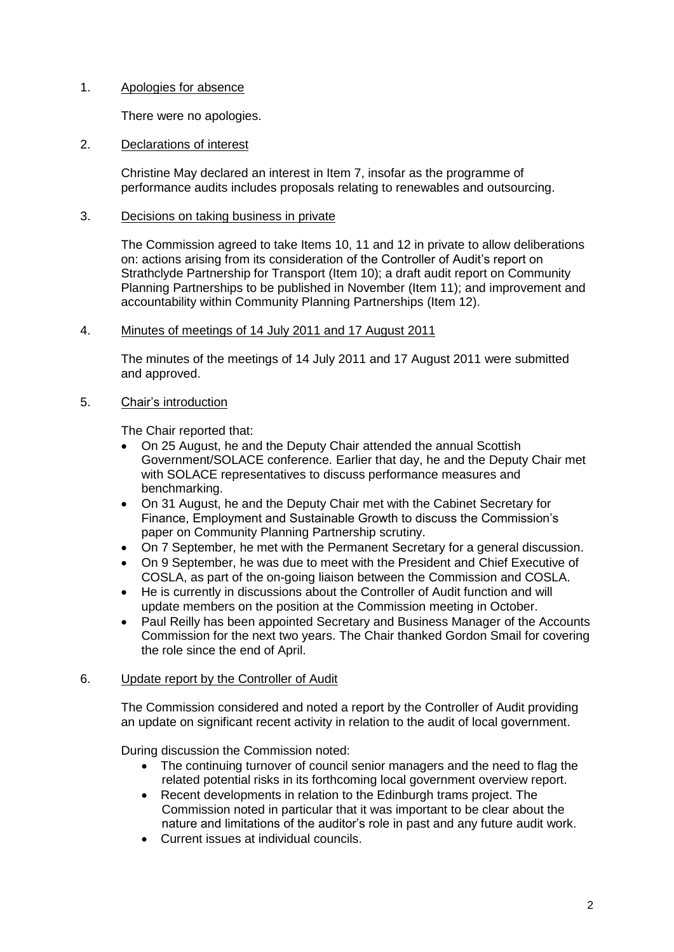# 1. Apologies for absence

There were no apologies.

# 2. Declarations of interest

Christine May declared an interest in Item 7, insofar as the programme of performance audits includes proposals relating to renewables and outsourcing.

# 3. Decisions on taking business in private

The Commission agreed to take Items 10, 11 and 12 in private to allow deliberations on: actions arising from its consideration of the Controller of Audit's report on Strathclyde Partnership for Transport (Item 10); a draft audit report on Community Planning Partnerships to be published in November (Item 11); and improvement and accountability within Community Planning Partnerships (Item 12).

### 4. Minutes of meetings of 14 July 2011 and 17 August 2011

The minutes of the meetings of 14 July 2011 and 17 August 2011 were submitted and approved.

# 5. Chair's introduction

The Chair reported that:

- On 25 August, he and the Deputy Chair attended the annual Scottish Government/SOLACE conference. Earlier that day, he and the Deputy Chair met with SOLACE representatives to discuss performance measures and benchmarking.
- On 31 August, he and the Deputy Chair met with the Cabinet Secretary for Finance, Employment and Sustainable Growth to discuss the Commission's paper on Community Planning Partnership scrutiny.
- On 7 September, he met with the Permanent Secretary for a general discussion.
- On 9 September, he was due to meet with the President and Chief Executive of COSLA, as part of the on-going liaison between the Commission and COSLA.
- He is currently in discussions about the Controller of Audit function and will update members on the position at the Commission meeting in October.
- Paul Reilly has been appointed Secretary and Business Manager of the Accounts Commission for the next two years. The Chair thanked Gordon Smail for covering the role since the end of April.

#### 6. Update report by the Controller of Audit

The Commission considered and noted a report by the Controller of Audit providing an update on significant recent activity in relation to the audit of local government.

During discussion the Commission noted:

- The continuing turnover of council senior managers and the need to flag the related potential risks in its forthcoming local government overview report.
- Recent developments in relation to the Edinburgh trams project. The Commission noted in particular that it was important to be clear about the nature and limitations of the auditor's role in past and any future audit work.
- Current issues at individual councils.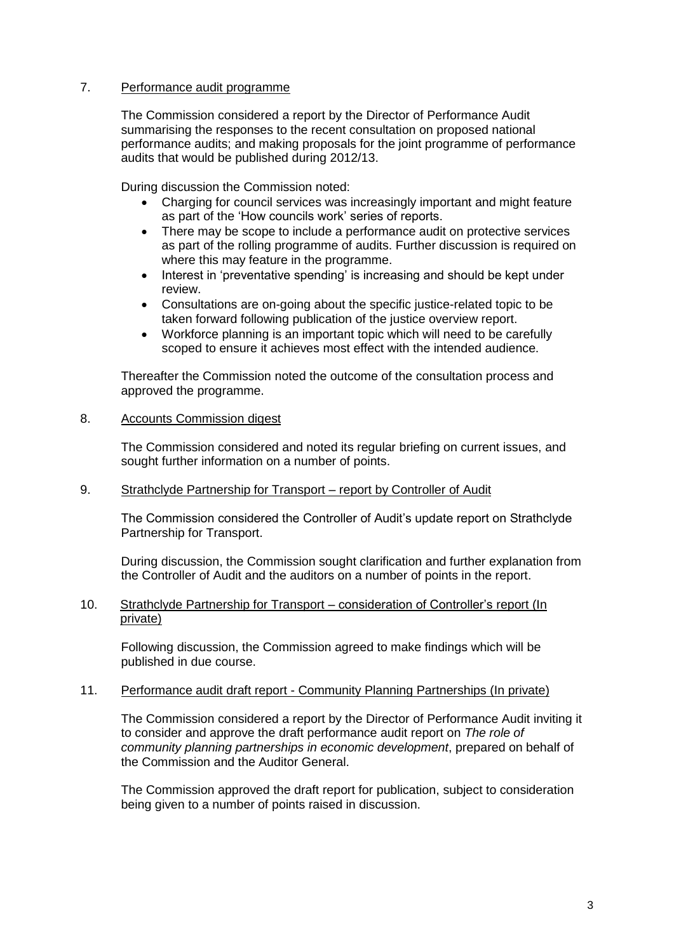# 7. Performance audit programme

The Commission considered a report by the Director of Performance Audit summarising the responses to the recent consultation on proposed national performance audits; and making proposals for the joint programme of performance audits that would be published during 2012/13.

During discussion the Commission noted:

- Charging for council services was increasingly important and might feature as part of the 'How councils work' series of reports.
- There may be scope to include a performance audit on protective services as part of the rolling programme of audits. Further discussion is required on where this may feature in the programme.
- Interest in 'preventative spending' is increasing and should be kept under review.
- Consultations are on-going about the specific justice-related topic to be taken forward following publication of the justice overview report.
- Workforce planning is an important topic which will need to be carefully scoped to ensure it achieves most effect with the intended audience.

Thereafter the Commission noted the outcome of the consultation process and approved the programme.

# 8. Accounts Commission digest

The Commission considered and noted its regular briefing on current issues, and sought further information on a number of points.

# 9. Strathclyde Partnership for Transport – report by Controller of Audit

The Commission considered the Controller of Audit's update report on Strathclyde Partnership for Transport.

During discussion, the Commission sought clarification and further explanation from the Controller of Audit and the auditors on a number of points in the report.

# 10. Strathclyde Partnership for Transport – consideration of Controller's report (In private)

Following discussion, the Commission agreed to make findings which will be published in due course.

#### 11. Performance audit draft report - Community Planning Partnerships (In private)

The Commission considered a report by the Director of Performance Audit inviting it to consider and approve the draft performance audit report on *The role of community planning partnerships in economic development*, prepared on behalf of the Commission and the Auditor General.

The Commission approved the draft report for publication, subject to consideration being given to a number of points raised in discussion.